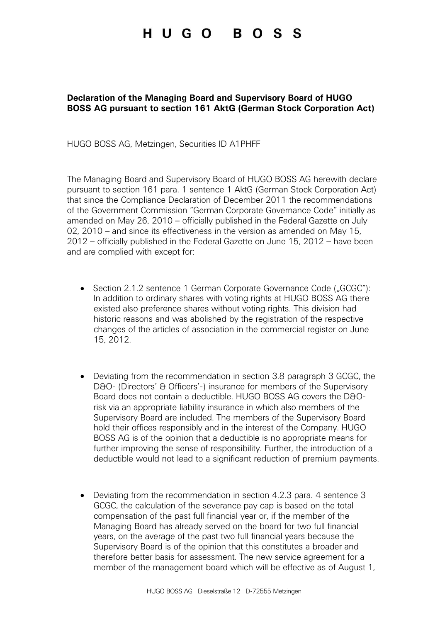## HUGO BOSS

## **Declaration of the Managing Board and Supervisory Board of HUGO BOSS AG pursuant to section 161 AktG (German Stock Corporation Act)**

HUGO BOSS AG, Metzingen, Securities ID A1PHFF

The Managing Board and Supervisory Board of HUGO BOSS AG herewith declare pursuant to section 161 para. 1 sentence 1 AktG (German Stock Corporation Act) that since the Compliance Declaration of December 2011 the recommendations of the Government Commission "German Corporate Governance Code" initially as amended on May 26, 2010 – officially published in the Federal Gazette on July 02, 2010 – and since its effectiveness in the version as amended on May 15, 2012 – officially published in the Federal Gazette on June 15, 2012 – have been and are complied with except for:

- Section 2.1.2 sentence 1 German Corporate Governance Code ("GCGC"): In addition to ordinary shares with voting rights at HUGO BOSS AG there existed also preference shares without voting rights. This division had historic reasons and was abolished by the registration of the respective changes of the articles of association in the commercial register on June 15, 2012.
- Deviating from the recommendation in section 3.8 paragraph 3 GCGC, the D&O- (Directors' & Officers'-) insurance for members of the Supervisory Board does not contain a deductible. HUGO BOSS AG covers the D&Orisk via an appropriate liability insurance in which also members of the Supervisory Board are included. The members of the Supervisory Board hold their offices responsibly and in the interest of the Company. HUGO BOSS AG is of the opinion that a deductible is no appropriate means for further improving the sense of responsibility. Further, the introduction of a deductible would not lead to a significant reduction of premium payments.
- Deviating from the recommendation in section 4.2.3 para. 4 sentence 3 GCGC, the calculation of the severance pay cap is based on the total compensation of the past full financial year or, if the member of the Managing Board has already served on the board for two full financial years, on the average of the past two full financial years because the Supervisory Board is of the opinion that this constitutes a broader and therefore better basis for assessment. The new service agreement for a member of the management board which will be effective as of August 1,